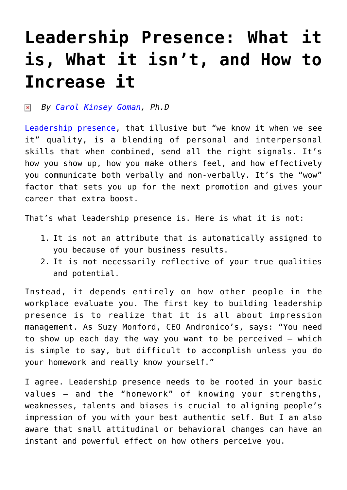# **[Leadership Presence: What it](https://www.commpro.biz/leadership-presence-what-it-is-what-it-isnt-and-how-to-increase-it/) [is, What it isn't, and How to](https://www.commpro.biz/leadership-presence-what-it-is-what-it-isnt-and-how-to-increase-it/) [Increase it](https://www.commpro.biz/leadership-presence-what-it-is-what-it-isnt-and-how-to-increase-it/)**

*By [Carol Kinsey Goman,](https://www.commpro.biz/dr-carol-kinsey-gorman-blog/) Ph.D*

[Leadership presence,](https://www.google.com/webhp?sourceid=chrome-instant&ion=1&espv=2&ie=UTF-8#q=leadership%20presence) that illusive but "we know it when we see it" quality, is a blending of personal and interpersonal skills that when combined, send all the right signals. It's how you show up, how you make others feel, and how effectively you communicate both verbally and non-verbally. It's the "wow" factor that sets you up for the next promotion and gives your career that extra boost.

That's what leadership presence is. Here is what it is not:

- 1. It is not an attribute that is automatically assigned to you because of your business results.
- 2. It is not necessarily reflective of your true qualities and potential.

Instead, it depends entirely on how other people in the workplace evaluate you. The first key to building leadership presence is to realize that it is all about impression management. As Suzy Monford, CEO Andronico's, says: "You need to show up each day the way you want to be perceived – which is simple to say, but difficult to accomplish unless you do your homework and really know yourself."

I agree. Leadership presence needs to be rooted in your basic values – and the "homework" of knowing your strengths, weaknesses, talents and biases is crucial to aligning people's impression of you with your best authentic self. But I am also aware that small attitudinal or behavioral changes can have an instant and powerful effect on how others perceive you.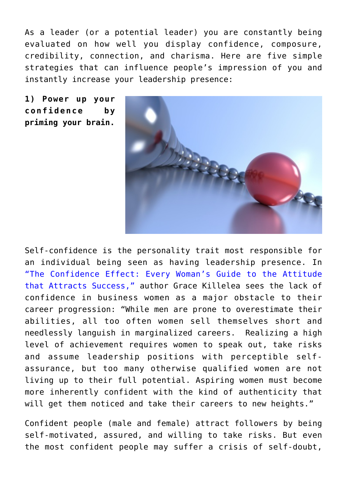As a leader (or a potential leader) you are constantly being evaluated on how well you display confidence, composure, credibility, connection, and charisma. Here are five simple strategies that can influence people's impression of you and instantly increase your leadership presence:

**1) Power up your confidence by priming your brain.**



Self-confidence is the personality trait most responsible for an individual being seen as having leadership presence. In ["The Confidence Effect: Every Woman's Guide to the Attitude](https://www.amazon.com/Confidence-Effect-Attitude-Attracts-Success/dp/0814436412/ref=sr_1_1?ie=UTF8&qid=1441313919&sr=8-1&keywords=grace+killelea) [that Attracts Success,"](https://www.amazon.com/Confidence-Effect-Attitude-Attracts-Success/dp/0814436412/ref=sr_1_1?ie=UTF8&qid=1441313919&sr=8-1&keywords=grace+killelea) author Grace Killelea sees the lack of confidence in business women as a major obstacle to their career progression: "While men are prone to overestimate their abilities, all too often women sell themselves short and needlessly languish in marginalized careers. Realizing a high level of achievement requires women to speak out, take risks and assume leadership positions with perceptible selfassurance, but too many otherwise qualified women are not living up to their full potential. Aspiring women must become more inherently confident with the kind of authenticity that will get them noticed and take their careers to new heights."

Confident people (male and female) attract followers by being self-motivated, assured, and willing to take risks. But even the most confident people may suffer a crisis of self-doubt,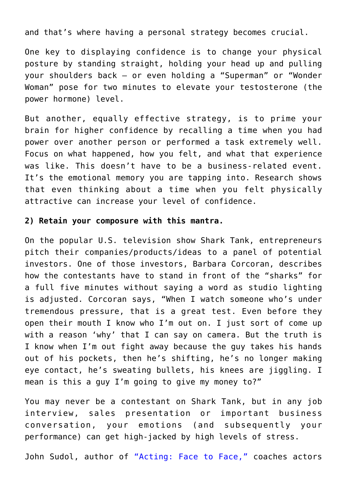and that's where having a personal strategy becomes crucial.

One key to displaying confidence is to change your physical posture by standing straight, holding your head up and pulling your shoulders back — or even holding a "Superman" or "Wonder Woman" pose for two minutes to elevate your testosterone (the power hormone) level.

But another, equally effective strategy, is to prime your brain for higher confidence by recalling a time when you had power over another person or performed a task extremely well. Focus on what happened, how you felt, and what that experience was like. This doesn't have to be a business-related event. It's the emotional memory you are tapping into. Research shows that even thinking about a time when you felt physically attractive can increase your level of confidence.

### **2) Retain your composure with this mantra.**

On the popular U.S. television show Shark Tank, entrepreneurs pitch their companies/products/ideas to a panel of potential investors. One of those investors, Barbara Corcoran, describes how the contestants have to stand in front of the "sharks" for a full five minutes without saying a word as studio lighting is adjusted. Corcoran says, "When I watch someone who's under tremendous pressure, that is a great test. Even before they open their mouth I know who I'm out on. I just sort of come up with a reason 'why' that I can say on camera. But the truth is I know when I'm out fight away because the guy takes his hands out of his pockets, then he's shifting, he's no longer making eye contact, he's sweating bullets, his knees are jiggling. I mean is this a guy I'm going to give my money to?"

You may never be a contestant on Shark Tank, but in any job interview, sales presentation or important business conversation, your emotions (and subsequently your performance) can get high-jacked by high levels of stress.

John Sudol, author of "[Acting: Face to Face,"](https://www.amazon.com/Acting-Face-Understanding-Communicates-Language/dp/1490561196/ref=sr_1_1?s=books&ie=UTF8&qid=1452817290&sr=1-1&keywords=acting+face+to+face) coaches actors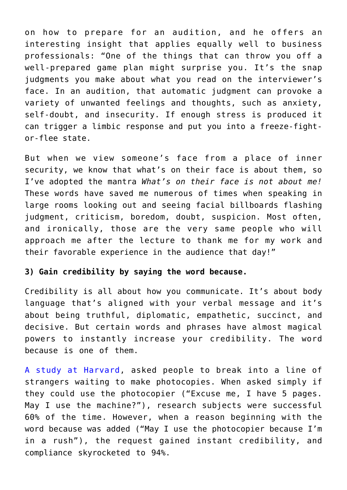on how to prepare for an audition, and he offers an interesting insight that applies equally well to business professionals: "One of the things that can throw you off a well-prepared game plan might surprise you. It's the snap judgments you make about what you read on the interviewer's face. In an audition, that automatic judgment can provoke a variety of unwanted feelings and thoughts, such as anxiety, self-doubt, and insecurity. If enough stress is produced it can trigger a limbic response and put you into a freeze-fightor-flee state.

But when we view someone's face from a place of inner security, we know that what's on their face is about them, so I've adopted the mantra *What's on their face is not about me!* These words have saved me numerous of times when speaking in large rooms looking out and seeing facial billboards flashing judgment, criticism, boredom, doubt, suspicion. Most often, and ironically, those are the very same people who will approach me after the lecture to thank me for my work and their favorable experience in the audience that day!"

#### **3) Gain credibility by saying the word because.**

Credibility is all about how you communicate. It's about body language that's aligned with your verbal message and it's about being truthful, diplomatic, empathetic, succinct, and decisive. But certain words and phrases have almost magical powers to instantly increase your credibility. The word because is one of them.

[A study at Harvard](https://www.psychologytoday.com/blog/brain-wise/201310/the-power-the-word-because-get-people-do-stuff), asked people to break into a line of strangers waiting to make photocopies. When asked simply if they could use the photocopier ("Excuse me, I have 5 pages. May I use the machine?"), research subjects were successful 60% of the time. However, when a reason beginning with the word because was added ("May I use the photocopier because I'm in a rush"), the request gained instant credibility, and compliance skyrocketed to 94%.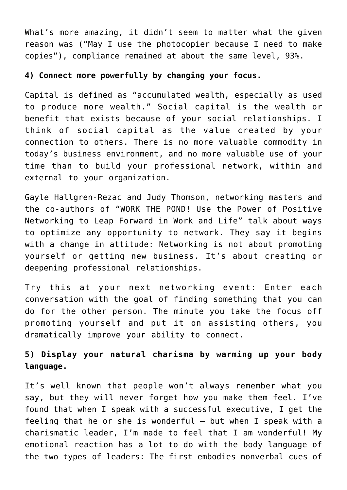What's more amazing, it didn't seem to matter what the given reason was ("May I use the photocopier because I need to make copies"), compliance remained at about the same level, 93%.

## **4) Connect more powerfully by changing your focus.**

Capital is defined as "accumulated wealth, especially as used to produce more wealth." Social capital is the wealth or benefit that exists because of your social relationships. I think of social capital as the value created by your connection to others. There is no more valuable commodity in today's business environment, and no more valuable use of your time than to build your professional network, within and external to your organization.

Gayle Hallgren-Rezac and Judy Thomson, networking masters and the co-authors of ["WORK THE POND! Use the Power of Positive](https://www.amazon.com/Work-Power-Positive-Networking-Forward/dp/0735204020/ref=sr_1_1?s=books&ie=UTF8&qid=1452817466&sr=1-1&keywords=work+the+pond) [Networking to Leap Forward in Work and Life"](https://www.amazon.com/Work-Power-Positive-Networking-Forward/dp/0735204020/ref=sr_1_1?s=books&ie=UTF8&qid=1452817466&sr=1-1&keywords=work+the+pond) talk about ways to optimize any opportunity to network. They say it begins with a change in attitude: Networking is not about promoting yourself or getting new business. It's about creating or deepening professional relationships.

Try this at your next networking event: Enter each conversation with the goal of finding something that you can do for the other person. The minute you take the focus off promoting yourself and put it on assisting others, you dramatically improve your ability to connect.

# **5) Display your natural charisma by warming up your body language.**

It's well known that people won't always remember what you say, but they will never forget how you make them feel. I've found that when I speak with a successful executive, I get the feeling that he or she is wonderful  $-$  but when I speak with a charismatic leader, I'm made to feel that I am wonderful! My emotional reaction has a lot to do with the body language of the two types of leaders: The first embodies nonverbal cues of